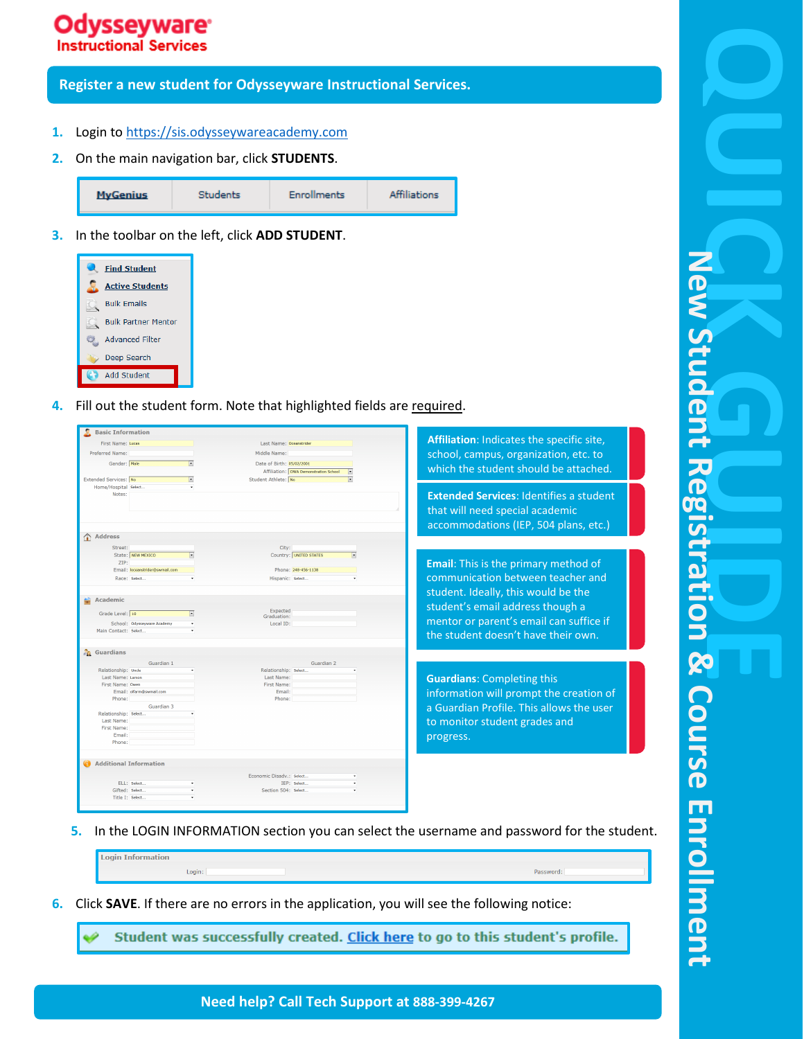## **Odysseyware Instructional Services**

## **Register a new student for Odysseyware Instructional Services.**

- **1.** Login to [https://sis.odysseywareacademy.com](https://sis.odysseywareacademy.com/)
- **2.** On the main navigation bar, click **STUDENTS**.



**3.** In the toolbar on the left, click **ADD STUDENT**.

| <b>Find Student</b>        |
|----------------------------|
| <b>Active Students</b>     |
| <b>Bulk Emails</b>         |
| <b>Bulk Partner Mentor</b> |
| <b>Advanced Filter</b>     |
| Deep Search                |
| <b>Add Student</b>         |

**4.** Fill out the student form. Note that highlighted fields are required.

| First Name: Lucas                           | Last Name: Oceanstrider                            | Affiliation: Indicates the specific site,                                                                                  |
|---------------------------------------------|----------------------------------------------------|----------------------------------------------------------------------------------------------------------------------------|
| Preferred Name:                             | Middle Name:                                       |                                                                                                                            |
|                                             |                                                    | school, campus, organization, etc. to                                                                                      |
| Gender: Male                                | Date of Birth: 05/02/2001                          | which the student should be attached.                                                                                      |
|                                             | Affiliation: OWA Demonstration School<br>×         |                                                                                                                            |
| Extended Services: No<br>×                  | Student Athlete: No<br>⋤                           |                                                                                                                            |
| Home/Hospital Select<br>Notes:              |                                                    |                                                                                                                            |
|                                             |                                                    | <b>Extended Services: Identifies a student</b><br>that will need special academic<br>accommodations (IEP, 504 plans, etc.) |
| Address                                     |                                                    |                                                                                                                            |
|                                             |                                                    |                                                                                                                            |
| Street:                                     | City:                                              |                                                                                                                            |
| State: NEW MEXICO                           | Country: UNITED STATES<br>$\overline{\phantom{a}}$ |                                                                                                                            |
| ZIP:<br>Email: loceanstrider@swmail.com     | Phone: 248-456-1138                                | <b>Email:</b> This is the primary method of                                                                                |
| Race: Select                                |                                                    | communication between teacher and                                                                                          |
|                                             | Hispanic: Select                                   |                                                                                                                            |
|                                             |                                                    | student. Ideally, this would be the                                                                                        |
| Academic                                    |                                                    |                                                                                                                            |
|                                             |                                                    | student's email address though a                                                                                           |
| Grade Level: 10<br>$\overline{\phantom{a}}$ | Expected<br>Graduation:                            |                                                                                                                            |
| School: Odysseyware Academy<br>٠            | Local ID:                                          | mentor or parent's email can suffice if                                                                                    |
| Main Contact: Select                        |                                                    |                                                                                                                            |
|                                             |                                                    | the student doesn't have their own.                                                                                        |
| <b>o</b> Guardians                          |                                                    |                                                                                                                            |
| Guardian 1                                  | Guardian <sub>2</sub>                              |                                                                                                                            |
| Relationship: Uncle                         | Relationship: Select                               |                                                                                                                            |
| Last Name: Larson                           | Last Name:                                         | <b>Guardians: Completing this</b>                                                                                          |
| First Name: Owen                            | First Name:                                        |                                                                                                                            |
| Fmail: olfarm@swmail.com                    | Fmail:                                             | information will prompt the creation of                                                                                    |
| Phone:                                      | Phone:                                             |                                                                                                                            |
| Guardian 3                                  |                                                    | a Guardian Profile. This allows the user                                                                                   |
| Relationship: Select                        |                                                    |                                                                                                                            |
| Last Name:                                  |                                                    | to monitor student grades and                                                                                              |
| First Name:<br>Email:                       |                                                    |                                                                                                                            |
| Phone:                                      |                                                    | progress.                                                                                                                  |
|                                             |                                                    |                                                                                                                            |
| <b>Additional Information</b>               |                                                    |                                                                                                                            |
|                                             |                                                    |                                                                                                                            |
|                                             | Economic Disady.: Select                           |                                                                                                                            |
|                                             |                                                    |                                                                                                                            |
| FLL: Select                                 | IEP: Select                                        |                                                                                                                            |
| Gifted: Select<br>Title I: Select           | Section 504: Select                                |                                                                                                                            |

**5.** In the LOGIN INFORMATION section you can select the username and password for the student.

| <br>ogir<br>זהז |         |
|-----------------|---------|
| Login:          | Passwor |

**6.** Click **SAVE**. If there are no errors in the application, you will see the following notice:

Student was successfully created. Click here to go to this student's profile.

**Need help? Call Tech Support at 888-399-4267**